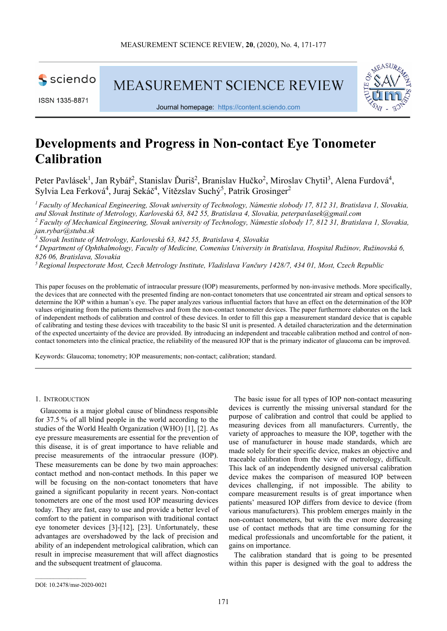

ISSN 1335-8871

**MEASUREMENT SCIENCE REVIEW** 



Journal homepage: https://content.sciendo.com

# **Developments and Progress in Non-contact Eye Tonometer Calibration**

Peter Pavlásek<sup>1</sup>, Jan Rybář<sup>2</sup>, Stanislav Ďuriš<sup>2</sup>, Branislav Hučko<sup>2</sup>, Miroslav Chytil<sup>3</sup>, Alena Furdová<sup>4</sup>, Sylvia Lea Ferková<sup>4</sup>, Juraj Sekáč<sup>4</sup>, Vítězslav Suchý<sup>5</sup>, Patrik Grosinger<sup>2</sup>

*<sup>1</sup>Faculty of Mechanical Engineering, Slovak university of Technology, Námestie slobody 17, 812 31, Bratislava 1, Slovakia, and Slovak Institute of Metrology, Karloveská 63, 842 55, Bratislava 4, Slovakia, peterpavlasek@gmail.com 2 Faculty of Mechanical Engineering, Slovak university of Technology, Námestie slobody 17, 812 31, Bratislava 1, Slovakia, jan.rybar@stuba.sk* 

*3 Slovak Institute of Metrology, Karloveská 63, 842 55, Bratislava 4, Slovakia* 

*4 Department of Ophthalmology, Faculty of Medicine, Comenius University in Bratislava, Hospital Ružinov, Ružinovská 6, 826 06, Bratislava, Slovakia* 

*<sup>5</sup>Regional Inspectorate Most, Czech Metrology Institute, Vladislava Vančury 1428/7, 434 01, Most, Czech Republic* 

This paper focuses on the problematic of intraocular pressure (IOP) measurements, performed by non-invasive methods. More specifically, the devices that are connected with the presented finding are non-contact tonometers that use concentrated air stream and optical sensors to determine the IOP within a human's eye. The paper analyzes various influential factors that have an effect on the determination of the IOP values originating from the patients themselves and from the non-contact tonometer devices. The paper furthermore elaborates on the lack of independent methods of calibration and control of these devices. In order to fill this gap a measurement standard device that is capable of calibrating and testing these devices with traceability to the basic SI unit is presented. A detailed characterization and the determination of the expected uncertainty of the device are provided. By introducing an independent and traceable calibration method and control of noncontact tonometers into the clinical practice, the reliability of the measured IOP that is the primary indicator of glaucoma can be improved.

Keywords: Glaucoma; tonometry; IOP measurements; non-contact; calibration; standard.

1. INTRODUCTION

Glaucoma is a major global cause of blindness responsible for 37.5 % of all blind people in the world according to the studies of the World Health Organization (WHO) [1], [2]. As eye pressure measurements are essential for the prevention of this disease, it is of great importance to have reliable and precise measurements of the intraocular pressure (IOP). These measurements can be done by two main approaches: contact method and non-contact methods. In this paper we will be focusing on the non-contact tonometers that have gained a significant popularity in recent years. Non-contact tonometers are one of the most used IOP measuring devices today. They are fast, easy to use and provide a better level of comfort to the patient in comparison with traditional contact eye tonometer devices [3]-[12], [23]. Unfortunately, these advantages are overshadowed by the lack of precision and ability of an independent metrological calibration, which can result in imprecise measurement that will affect diagnostics and the subsequent treatment of glaucoma.

The basic issue for all types of IOP non-contact measuring devices is currently the missing universal standard for the purpose of calibration and control that could be applied to measuring devices from all manufacturers. Currently, the variety of approaches to measure the IOP, together with the use of manufacturer in house made standards, which are made solely for their specific device, makes an objective and traceable calibration from the view of metrology, difficult. This lack of an independently designed universal calibration device makes the comparison of measured IOP between devices challenging, if not impossible. The ability to compare measurement results is of great importance when patients' measured IOP differs from device to device (from various manufacturers). This problem emerges mainly in the non-contact tonometers, but with the ever more decreasing use of contact methods that are time consuming for the medical professionals and uncomfortable for the patient, it gains on importance.

The calibration standard that is going to be presented within this paper is designed with the goal to address the

DOI: 10.2478/msr-2020-0021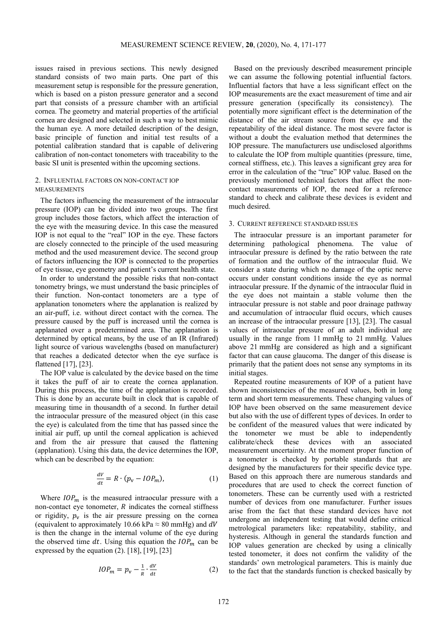issues raised in previous sections. This newly designed standard consists of two main parts. One part of this measurement setup is responsible for the pressure generation, which is based on a piston pressure generator and a second part that consists of a pressure chamber with an artificial cornea. The geometry and material properties of the artificial cornea are designed and selected in such a way to best mimic the human eye. A more detailed description of the design, basic principle of function and initial test results of a potential calibration standard that is capable of delivering calibration of non-contact tonometers with traceability to the basic SI unit is presented within the upcoming sections.

# 2. INFLUENTIAL FACTORS ON NON-CONTACT IOP MEASUREMENTS

The factors influencing the measurement of the intraocular pressure (IOP) can be divided into two groups. The first group includes those factors, which affect the interaction of the eye with the measuring device. In this case the measured IOP is not equal to the "real" IOP in the eye. These factors are closely connected to the principle of the used measuring method and the used measurement device. The second group of factors influencing the IOP is connected to the properties of eye tissue, eye geometry and patient's current health state.

In order to understand the possible risks that non-contact tonometry brings, we must understand the basic principles of their function. Non-contact tonometers are a type of applanation tonometers where the applanation is realized by an air-puff, i.e. without direct contact with the cornea. The pressure caused by the puff is increased until the cornea is applanated over a predetermined area. The applanation is determined by optical means, by the use of an IR (Infrared) light source of various wavelengths (based on manufacturer) that reaches a dedicated detector when the eye surface is flattened [17], [23].

The IOP value is calculated by the device based on the time it takes the puff of air to create the cornea applanation. During this process, the time of the applanation is recorded. This is done by an accurate built in clock that is capable of measuring time in thousandth of a second. In further detail the intraocular pressure of the measured object (in this case the eye) is calculated from the time that has passed since the initial air puff, up until the corneal application is achieved and from the air pressure that caused the flattening (applanation). Using this data, the device determines the IOP, which can be described by the equation:

$$
\frac{dV}{dt} = R \cdot (p_v - IOP_m),\tag{1}
$$

Where  $IOP<sub>m</sub>$  is the measured intraocular pressure with a non-contact eye tonometer,  $R$  indicates the corneal stiffness or rigidity,  $p_v$  is the air pressure pressing on the cornea (equivalent to approximately 10.66 kPa  $\approx 80$  mmHg) and dV is then the change in the internal volume of the eye during the observed time  $dt$ . Using this equation the  $IOP<sub>m</sub>$  can be expressed by the equation  $(2)$ . [18], [19], [23]

$$
IOP_m = p_v - \frac{1}{R} \cdot \frac{dV}{dt}
$$
 (2)

Based on the previously described measurement principle we can assume the following potential influential factors. Influential factors that have a less significant effect on the IOP measurements are the exact measurement of time and air pressure generation (specifically its consistency). The potentially more significant effect is the determination of the distance of the air stream source from the eye and the repeatability of the ideal distance. The most severe factor is without a doubt the evaluation method that determines the IOP pressure. The manufacturers use undisclosed algorithms to calculate the IOP from multiple quantities (pressure, time, corneal stiffness, etc.). This leaves a significant grey area for error in the calculation of the "true" IOP value. Based on the previously mentioned technical factors that affect the noncontact measurements of IOP, the need for a reference standard to check and calibrate these devices is evident and much desired.

## 3. CURRENT REFERENCE STANDARD ISSUES

The intraocular pressure is an important parameter for determining pathological phenomena. The value of intraocular pressure is defined by the ratio between the rate of formation and the outflow of the intraocular fluid. We consider a state during which no damage of the optic nerve occurs under constant conditions inside the eye as normal intraocular pressure. If the dynamic of the intraocular fluid in the eye does not maintain a stable volume then the intraocular pressure is not stable and poor drainage pathway and accumulation of intraocular fluid occurs, which causes an increase of the intraocular pressure [13], [23]. The casual values of intraocular pressure of an adult individual are usually in the range from 11 mmHg to 21 mmHg. Values above 21 mmHg are considered as high and a significant factor that can cause glaucoma. The danger of this disease is primarily that the patient does not sense any symptoms in its initial stages.

Repeated routine measurements of IOP of a patient have shown inconsistencies of the measured values, both in long term and short term measurements. These changing values of IOP have been observed on the same measurement device but also with the use of different types of devices. In order to be confident of the measured values that were indicated by the tonometer we must be able to independently calibrate/check these devices with an associated measurement uncertainty. At the moment proper function of a tonometer is checked by portable standards that are designed by the manufacturers for their specific device type. Based on this approach there are numerous standards and procedures that are used to check the correct function of tonometers. These can be currently used with a restricted number of devices from one manufacturer. Further issues arise from the fact that these standard devices have not undergone an independent testing that would define critical metrological parameters like: repeatability, stability, and hysteresis. Although in general the standards function and IOP values generation are checked by using a clinically tested tonometer, it does not confirm the validity of the standards' own metrological parameters. This is mainly due to the fact that the standards function is checked basically by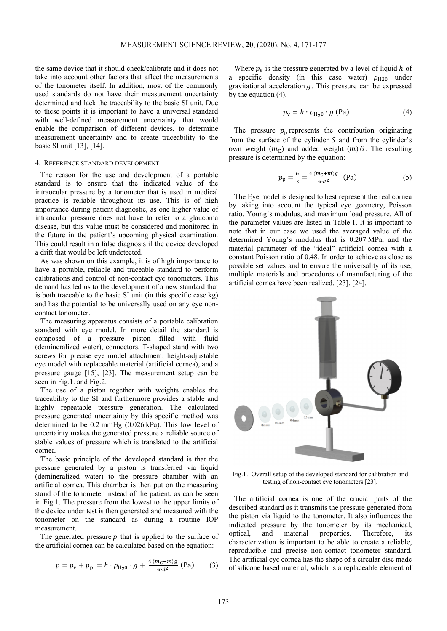the same device that it should check/calibrate and it does not take into account other factors that affect the measurements of the tonometer itself. In addition, most of the commonly used standards do not have their measurement uncertainty determined and lack the traceability to the basic SI unit. Due to these points it is important to have a universal standard with well-defined measurement uncertainty that would enable the comparison of different devices, to determine measurement uncertainty and to create traceability to the basic SI unit [13], [14].

#### 4. REFERENCE STANDARD DEVELOPMENT

The reason for the use and development of a portable standard is to ensure that the indicated value of the intraocular pressure by a tonometer that is used in medical practice is reliable throughout its use. This is of high importance during patient diagnostic, as one higher value of intraocular pressure does not have to refer to a glaucoma disease, but this value must be considered and monitored in the future in the patient's upcoming physical examination. This could result in a false diagnosis if the device developed a drift that would be left undetected.

As was shown on this example, it is of high importance to have a portable, reliable and traceable standard to perform calibrations and control of non-contact eye tonometers. This demand has led us to the development of a new standard that is both traceable to the basic SI unit (in this specific case kg) and has the potential to be universally used on any eye noncontact tonometer.

The measuring apparatus consists of a portable calibration standard with eye model. In more detail the standard is composed of a pressure piston filled with fluid (demineralized water), connectors, T-shaped stand with two screws for precise eye model attachment, height-adjustable eye model with replaceable material (artificial cornea), and a pressure gauge [15], [23]. The measurement setup can be seen in Fig.1. and Fig.2.

The use of a piston together with weights enables the traceability to the SI and furthermore provides a stable and highly repeatable pressure generation. The calculated pressure generated uncertainty by this specific method was determined to be 0.2 mmHg (0.026 kPa). This low level of uncertainty makes the generated pressure a reliable source of stable values of pressure which is translated to the artificial cornea.

The basic principle of the developed standard is that the pressure generated by a piston is transferred via liquid (demineralized water) to the pressure chamber with an artificial cornea. This chamber is then put on the measuring stand of the tonometer instead of the patient, as can be seen in Fig.1. The pressure from the lowest to the upper limits of the device under test is then generated and measured with the tonometer on the standard as during a routine IOP measurement.

The generated pressure  $p$  that is applied to the surface of the artificial cornea can be calculated based on the equation:

$$
p = p_{v} + p_{p} = h \cdot \rho_{H_{2}0} \cdot g + \frac{4(m_{c} + m)g}{\pi \cdot d^{2}} \text{ (Pa)} \tag{3}
$$

Where  $p_v$  is the pressure generated by a level of liquid h of a specific density (in this case water)  $\rho_{H20}$  under gravitational acceleration  $g$ . This pressure can be expressed by the equation (4).

$$
p_{\rm v} = h \cdot \rho_{\rm H_2 0} \cdot g \text{ (Pa)} \tag{4}
$$

The pressure  $p_p$  represents the contribution originating from the surface of the cylinder  $S$  and from the cylinder's own weight  $(m<sub>c</sub>)$  and added weight  $(m)$  G. The resulting pressure is determined by the equation:

$$
p_{\rm p} = \frac{G}{s} = \frac{4 \left( m_{\rm C} + m \right) g}{\pi \cdot d^2} \quad \text{(Pa)} \tag{5}
$$

The Eye model is designed to best represent the real cornea by taking into account the typical eye geometry, Poisson ratio, Young's modulus, and maximum load pressure. All of the parameter values are listed in Table 1. It is important to note that in our case we used the averaged value of the determined Young's modulus that is 0.207 MPa, and the material parameter of the "ideal" artificial cornea with a constant Poisson ratio of 0.48. In order to achieve as close as possible set values and to ensure the universality of its use, multiple materials and procedures of manufacturing of the artificial cornea have been realized. [23], [24].



Fig.1. Overall setup of the developed standard for calibration and testing of non-contact eye tonometers [23].

The artificial cornea is one of the crucial parts of the described standard as it transmits the pressure generated from the piston via liquid to the tonometer. It also influences the indicated pressure by the tonometer by its mechanical, optical, and material properties. Therefore, its characterization is important to be able to create a reliable, reproducible and precise non-contact tonometer standard. The artificial eye cornea has the shape of a circular disc made of silicone based material, which is a replaceable element of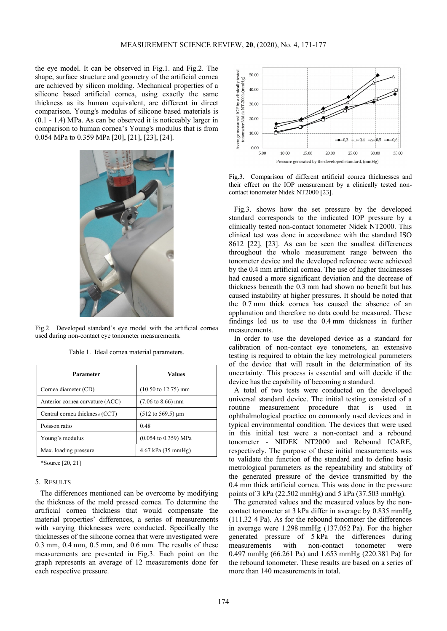the eye model. It can be observed in Fig.1. and Fig.2. The shape, surface structure and geometry of the artificial cornea are achieved by silicon molding. Mechanical properties of a silicone based artificial cornea, using exactly the same thickness as its human equivalent, are different in direct comparison. Young's modulus of silicone based materials is (0.1 - 1.4) MPa. As can be observed it is noticeably larger in comparison to human cornea's Young's modulus that is from 0.054 MPa to 0.359 MPa [20], [21], [23], [24].



Fig.2. Developed standard's eye model with the artificial cornea used during non-contact eye tonometer measurements.

Table 1. Ideal cornea material parameters.

| Parameter                       | Values                                  |
|---------------------------------|-----------------------------------------|
| Cornea diameter (CD)            | $(10.50 \text{ to } 12.75) \text{ mm}$  |
| Anterior cornea curvature (ACC) | $(7.06 \text{ to } 8.66) \text{ mm}$    |
| Central cornea thickness (CCT)  | $(512 \text{ to } 569.5) \mu m$         |
| Poisson ratio                   | 0.48                                    |
| Young's modulus                 | $(0.054 \text{ to } 0.359) \text{ MPa}$ |
| Max. loading pressure           | 4.67 kPa (35 mmHg)                      |

\*Source [20, 21]

# 5. RESULTS

The differences mentioned can be overcome by modifying the thickness of the mold pressed cornea. To determine the artificial cornea thickness that would compensate the material properties' differences, a series of measurements with varying thicknesses were conducted. Specifically the thicknesses of the silicone cornea that were investigated were 0.3 mm, 0.4 mm, 0.5 mm, and 0.6 mm. The results of these measurements are presented in Fig.3. Each point on the graph represents an average of 12 measurements done for each respective pressure.



Fig.3. Comparison of different artificial cornea thicknesses and their effect on the IOP measurement by a clinically tested noncontact tonometer Nidek NT2000 [23].

Fig.3. shows how the set pressure by the developed standard corresponds to the indicated IOP pressure by a clinically tested non-contact tonometer Nidek NT2000. This clinical test was done in accordance with the standard ISO 8612 [22], [23]. As can be seen the smallest differences throughout the whole measurement range between the tonometer device and the developed reference were achieved by the 0.4 mm artificial cornea. The use of higher thicknesses had caused a more significant deviation and the decrease of thickness beneath the 0.3 mm had shown no benefit but has caused instability at higher pressures. It should be noted that the 0.7 mm thick cornea has caused the absence of an applanation and therefore no data could be measured. These findings led us to use the 0.4 mm thickness in further measurements.

In order to use the developed device as a standard for calibration of non-contact eye tonometers, an extensive testing is required to obtain the key metrological parameters of the device that will result in the determination of its uncertainty. This process is essential and will decide if the device has the capability of becoming a standard.

A total of two tests were conducted on the developed universal standard device. The initial testing consisted of a routine measurement procedure that is used in ophthalmological practice on commonly used devices and in typical environmental condition. The devices that were used in this initial test were a non-contact and a rebound tonometer - NIDEK NT2000 and Rebound ICARE, respectively. The purpose of these initial measurements was to validate the function of the standard and to define basic metrological parameters as the repeatability and stability of the generated pressure of the device transmitted by the 0.4 mm thick artificial cornea. This was done in the pressure points of 3 kPa (22.502 mmHg) and 5 kPa (37.503 mmHg).

The generated values and the measured values by the noncontact tonometer at 3 kPa differ in average by 0.835 mmHg (111.32 4 Pa). As for the rebound tonometer the differences in average were 1.298 mmHg (137.052 Pa). For the higher generated pressure of 5 kPa the differences during measurements with non-contact tonometer were 0.497 mmHg (66.261 Pa) and 1.653 mmHg (220.381 Pa) for the rebound tonometer. These results are based on a series of more than 140 measurements in total.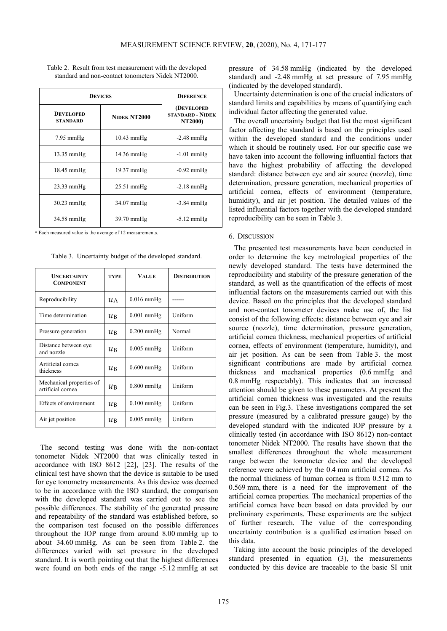| <b>DEVICES</b>                      |                      | <b>DIFERENCE</b>                                         |  |
|-------------------------------------|----------------------|----------------------------------------------------------|--|
| <b>DEVELOPED</b><br><b>STANDARD</b> | NIDEK NT2000         | (DEVELOPED<br><b>STANDARD - NIDEK</b><br><b>NT2000</b> ) |  |
| $7.95$ mmHg                         | $10.43$ mmHg         | $-2.48$ mmHg                                             |  |
| $13.35 \text{ mmHg}$                | $14.36 \text{ mmHg}$ | $-1.01$ mmHg                                             |  |
| 18.45 mmHg                          | $19.37$ mmHg         | $-0.92$ mmHg                                             |  |
| $23.33$ mmHg                        | $25.51$ mmHg         | $-2.18$ mmHg                                             |  |
| $30.23 \text{ mmHg}$                | $34.07$ mmHg         | $-3.84$ mmHg                                             |  |
| $34.58$ mmHg                        | $39.70 \text{ mmHg}$ | $-5.12 \text{ mmHg}$                                     |  |

Table 2. Result from test measurement with the developed standard and non-contact tonometers Nidek NT2000.

\* Each measured value is the average of 12 measurements.

Table 3. Uncertainty budget of the developed standard.

| <b>UNCERTAINTY</b><br><b>COMPONENT</b>        | <b>TYPE</b>     | <b>VALUE</b> | <b>DISTRIBUTION</b> |
|-----------------------------------------------|-----------------|--------------|---------------------|
| Reproducibility                               | $\mathcal{U}$ A | $0.016$ mmHg |                     |
| Time determination                            | ИB              | $0.001$ mmHg | Uniform             |
| Pressure generation                           | ИB              | $0.200$ mmHg | Normal              |
| Distance between eye<br>and nozzle            | ИB              | $0.005$ mmHg | Uniform             |
| Artificial cornea<br>thickness                | ИB              | $0.600$ mmHg | Uniform             |
| Mechanical properties of<br>artificial cornea | ИB              | $0.800$ mmHg | Uniform             |
| Effects of environment                        | ИB              | $0.100$ mmHg | Uniform             |
| Air jet position                              | $\mu_{\rm B}$   | $0.005$ mmHg | Uniform             |

The second testing was done with the non-contact tonometer Nidek NT2000 that was clinically tested in accordance with ISO 8612 [22], [23]. The results of the clinical test have shown that the device is suitable to be used for eye tonometry measurements. As this device was deemed to be in accordance with the ISO standard, the comparison with the developed standard was carried out to see the possible differences. The stability of the generated pressure and repeatability of the standard was established before, so the comparison test focused on the possible differences throughout the IOP range from around 8.00 mmHg up to about 34.60 mmHg. As can be seen from Table 2. the differences varied with set pressure in the developed standard. It is worth pointing out that the highest differences were found on both ends of the range -5.12 mmHg at set

pressure of 34.58 mmHg (indicated by the developed standard) and -2.48 mmHg at set pressure of 7.95 mmHg (indicated by the developed standard).

Uncertainty determination is one of the crucial indicators of standard limits and capabilities by means of quantifying each individual factor affecting the generated value.

The overall uncertainty budget that list the most significant factor affecting the standard is based on the principles used within the developed standard and the conditions under which it should be routinely used. For our specific case we have taken into account the following influential factors that have the highest probability of affecting the developed standard: distance between eye and air source (nozzle), time determination, pressure generation, mechanical properties of artificial cornea, effects of environment (temperature, humidity), and air jet position. The detailed values of the listed influential factors together with the developed standard reproducibility can be seen in Table 3.

## 6. DISCUSSION

The presented test measurements have been conducted in order to determine the key metrological properties of the newly developed standard. The tests have determined the reproducibility and stability of the pressure generation of the standard, as well as the quantification of the effects of most influential factors on the measurements carried out with this device. Based on the principles that the developed standard and non-contact tonometer devices make use of, the list consist of the following effects: distance between eye and air source (nozzle), time determination, pressure generation, artificial cornea thickness, mechanical properties of artificial cornea, effects of environment (temperature, humidity), and air jet position. As can be seen from Table 3. the most significant contributions are made by artificial cornea thickness and mechanical properties (0.6 mmHg and 0.8 mmHg respectably). This indicates that an increased attention should be given to these parameters. At present the artificial cornea thickness was investigated and the results can be seen in Fig.3. These investigations compared the set pressure (measured by a calibrated pressure gauge) by the developed standard with the indicated IOP pressure by a clinically tested (in accordance with ISO 8612) non-contact tonometer Nidek NT2000. The results have shown that the smallest differences throughout the whole measurement range between the tonometer device and the developed reference were achieved by the 0.4 mm artificial cornea. As the normal thickness of human cornea is from 0.512 mm to 0.569 mm, there is a need for the improvement of the artificial cornea properties. The mechanical properties of the artificial cornea have been based on data provided by our preliminary experiments. These experiments are the subject of further research. The value of the corresponding uncertainty contribution is a qualified estimation based on this data.

Taking into account the basic principles of the developed standard presented in equation (3), the measurements conducted by this device are traceable to the basic SI unit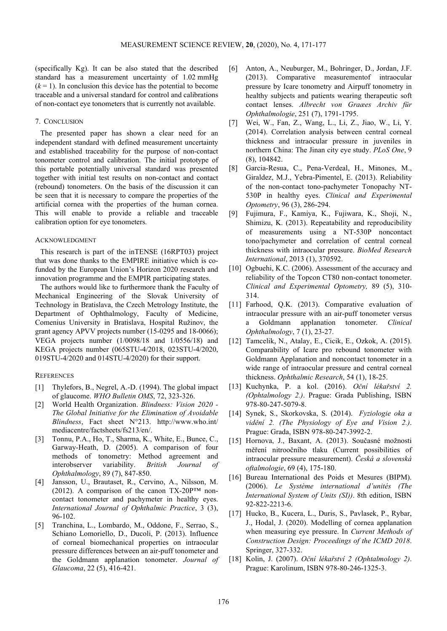(specifically Kg). It can be also stated that the described standard has a measurement uncertainty of 1.02 mmHg  $(k = 1)$ . In conclusion this device has the potential to become traceable and a universal standard for control and calibrations of non-contact eye tonometers that is currently not available.

## 7. CONCLUSION

The presented paper has shown a clear need for an independent standard with defined measurement uncertainty and established traceability for the purpose of non-contact tonometer control and calibration. The initial prototype of this portable potentially universal standard was presented together with initial test results on non-contact and contact (rebound) tonometers. On the basis of the discussion it can be seen that it is necessary to compare the properties of the artificial cornea with the properties of the human cornea. This will enable to provide a reliable and traceable calibration option for eye tonometers.

### ACKNOWLEDGMENT

This research is part of the inTENSE (16RPT03) project that was done thanks to the EMPIRE initiative which is cofunded by the European Union's Horizon 2020 research and innovation programme and the EMPIR participating states.

The authors would like to furthermore thank the Faculty of Mechanical Engineering of the Slovak University of Technology in Bratislava, the Czech Metrology Institute, the Department of Ophthalmology, Faculty of Medicine, Comenius University in Bratislava, Hospital Ružinov, the grant agency APVV projects number (15-0295 and 18-0066); VEGA projects number (1/0098/18 and 1/0556/18) and KEGA projects number (065STU-4/2018, 023STU-4/2020, 019STU-4/2020 and 014STU-4/2020) for their support.

# **REFERENCES**

- [1] Thylefors, B., Negrel, A.-D. (1994). The global impact of glaucome. *WHO Bulletin OMS*, 72, 323-326.
- [2] World Health Organization. *Blindness: Vision 2020 The Global Initiative for the Elimination of Avoidable Blindness*, Fact sheet N°213. http://www.who.int/ mediacentre/factsheets/fs213/en/.
- [3] Tonnu, P.A., Ho, T., Sharma, K., White, E., Bunce, C., Garway-Heath, D. (2005). A comparison of four methods of tonometry: Method agreement and interobserver variability. *British Journal of Ophthalmology*, 89 (7), 847-850.
- [4] Jansson, U., Brautaset, R., Cervino, A., Nilsson, M. (2012). A comparison of the canon  $TX-20P^{TM}$  noncontact tonometer and pachymeter in healthy eyes. *International Journal of Ophthalmic Practice*, 3 (3), 96-102.
- [5] Tranchina, L., Lombardo, M., Oddone, F., Serrao, S., Schiano Lomoriello, D., Ducoli, P. (2013). Influence of corneal biomechanical properties on intraocular pressure differences between an air-puff tonometer and the Goldmann applanation tonometer. *Journal of Glaucoma*, 22 (5), 416-421.
- [6] Anton, A., Neuburger, M., Bohringer, D., Jordan, J.F. (2013). Comparative measurementof intraocular pressure by Icare tonometry and Airpuff tonometry in healthy subjects and patients wearing therapeutic soft contact lenses. *Albrecht von Graæes Archiv für Ophthalmologie*, 251 (7), 1791-1795.
- [7] Wei, W., Fan, Z., Wang, L., Li, Z., Jiao, W., Li, Y. (2014). Correlation analysis between central corneal thickness and intraocular pressure in juveniles in northern China: The Jinan city eye study. *PLoS One*, 9 (8), 104842.
- [8] Garcia-Resua, C., Pena-Verdeal, H., Minones, M., Giraldez, M.J., Yebra-Pimentel, E. (2013). Reliability of the non-contact tono-pachymeter Tonopachy NT-530P in healthy eyes. *Clinical and Experimental Optometry*, 96 (3), 286-294.
- [9] Fujimura, F., Kamiya, K., Fujiwara, K., Shoji, N., Shimizu, K. (2013). Repeatability and reproducibility of measurements using a NT-530P noncontact tono/pachymeter and correlation of central corneal thickness with intraocular pressure. *BioMed Research International*, 2013 (1), 370592.
- [10] Ogbuehi, K.C. (2006). Assessment of the accuracy and reliability of the Topcon CT80 non-contact tonometer. *Clinical and Experimental Optometry,* 89 (5), 310- 314.
- [11] Farhood, Q.K. (2013). Comparative evaluation of intraocular pressure with an air-puff tonometer versus a Goldmann applanation tonometer. *Clinical Ophthalmology*, 7 (1), 23-27.
- [12] Tamcelik, N., Atalay, E., Cicik, E., Ozkok, A. (2015). Comparability of Icare pro rebound tonometer with Goldmann Applanation and noncontact tonometer in a wide range of intraocular pressure and central corneal thickness. *Ophthalmic Research*, 54 (1), 18-25.
- [13] Kuchynka, P. a kol. (2016). *Oční lékařství 2. (Ophtalmology 2.)*. Prague: Grada Publishing, ISBN 978-80-247-5079-8.
- [14] Synek, S., Skorkovska, S. (2014). *Fyziologie oka a vidění 2. (The Physiology of Eye and Vision 2.)*. Prague: Grada, ISBN 978-80-247-3992-2.
- [15] Hornova, J., Baxant, A. (2013). Současné možnosti měření nitroočního tlaku (Current possibilities of intraocular pressure measurement). *Česká a slovenská oftalmologie*, 69 (4), 175-180.
- [16] Bureau International des Poids et Mesures (BIPM). (2006). *Le Système international d'unités (The International System of Units (SI))*. 8th edition, ISBN 92-822-2213-6.
- [17] Hucko, B., Kucera, L., Duris, S., Pavlasek, P., Rybar, J., Hodal, J. (2020). Modelling of cornea applanation when measuring eye pressure. In *Current Methods of Construction Design: Proceedings of the ICMD 2018*. Springer, 327-332.
- [18] Kolin, J. (2007). *Oční lékařství 2 (Ophtalmology 2)*. Prague: Karolinum, ISBN 978-80-246-1325-3.